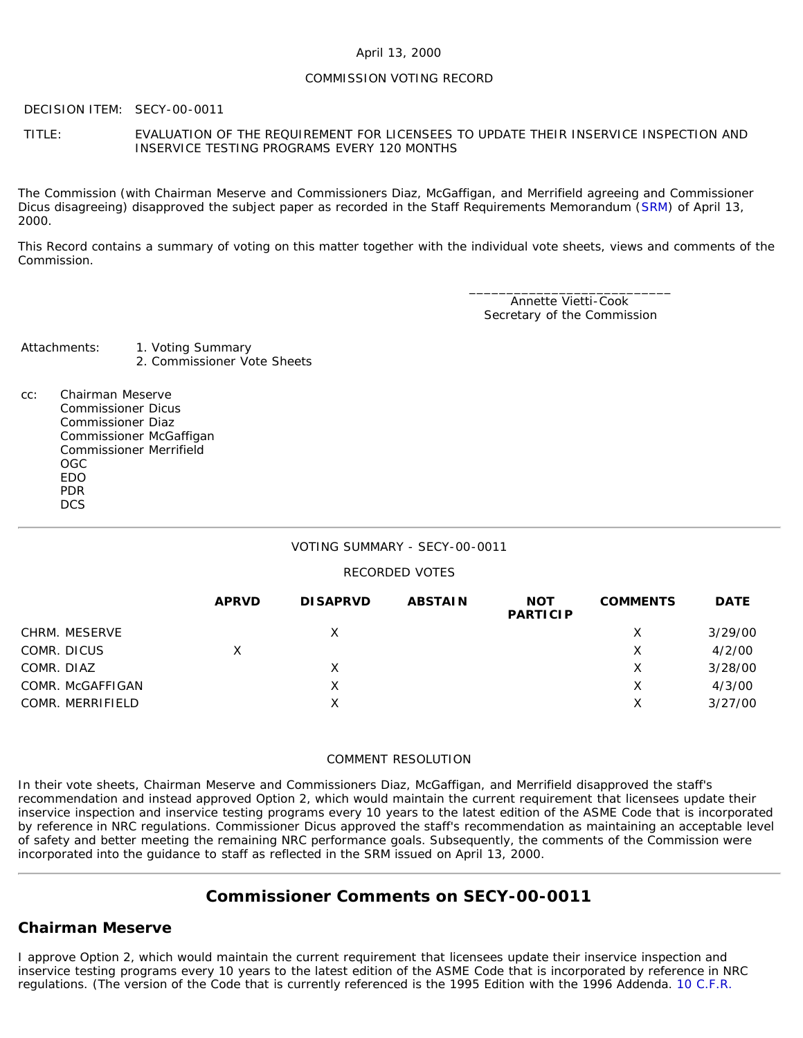### April 13, 2000

### COMMISSION VOTING RECORD

DECISION ITEM: SECY-00-0011

TITLE: EVALUATION OF THE REQUIREMENT FOR LICENSEES TO UPDATE THEIR INSERVICE INSPECTION AND INSERVICE TESTING PROGRAMS EVERY 120 MONTHS

The Commission (with Chairman Meserve and Commissioners Diaz, McGaffigan, and Merrifield agreeing and Commissioner Dicus disagreeing) disapproved the subject paper as recorded in the Staff Requirements Memorandum ([SRM](http://www.nrc.gov/reading-rm/doc-collections/commission/srm/2000/2000-0011srm.html)) of April 13, 2000.

This Record contains a summary of voting on this matter together with the individual vote sheets, views and comments of the Commission.

> \_\_\_\_\_\_\_\_\_\_\_\_\_\_\_\_\_\_\_\_\_\_\_\_\_\_\_ Annette Vietti-Cook Secretary of the Commission

Attachments: 1. Voting Summary 2. Commissioner Vote Sheets

cc: Chairman Meserve Commissioner Dicus Commissioner Diaz Commissioner McGaffigan Commissioner Merrifield OGC EDO PDR **DCS** 

### VOTING SUMMARY - SECY-00-0011

### RECORDED VOTES

|                  | <b>APRVD</b> | <b>DISAPRVD</b> | <b>ABSTAIN</b> | <b>NOT</b><br><b>PARTICIP</b> | <b>COMMENTS</b> | <b>DATE</b> |
|------------------|--------------|-----------------|----------------|-------------------------------|-----------------|-------------|
| CHRM. MESERVE    |              | X               |                |                               | Х               | 3/29/00     |
| COMR. DICUS      | X            |                 |                |                               | Х               | 4/2/00      |
| COMR. DIAZ       |              | Χ               |                |                               | Х               | 3/28/00     |
| COMR. McGAFFIGAN |              | X               |                |                               | Х               | 4/3/00      |
| COMR. MERRIFIELD |              | X               |                |                               | Х               | 3/27/00     |

### COMMENT RESOLUTION

In their vote sheets, Chairman Meserve and Commissioners Diaz, McGaffigan, and Merrifield disapproved the staff's recommendation and instead approved Option 2, which would maintain the current requirement that licensees update their inservice inspection and inservice testing programs every 10 years to the latest edition of the ASME Code that is incorporated by reference in NRC regulations. Commissioner Dicus approved the staff's recommendation as maintaining an acceptable level of safety and better meeting the remaining NRC performance goals. Subsequently, the comments of the Commission were incorporated into the guidance to staff as reflected in the SRM issued on April 13, 2000.

# **Commissioner Comments on SECY-00-0011**

### **Chairman Meserve**

I approve Option 2, which would maintain the current requirement that licensees update their inservice inspection and inservice testing programs every 10 years to the latest edition of the ASME Code that is incorporated by reference in NRC regulations. (The version of the Code that is currently referenced is the 1995 Edition with the 1996 Addenda. [10 C.F.R.](http://www.nrc.gov/reading-rm/doc-collections/cfr/part050/part050-0055a.html)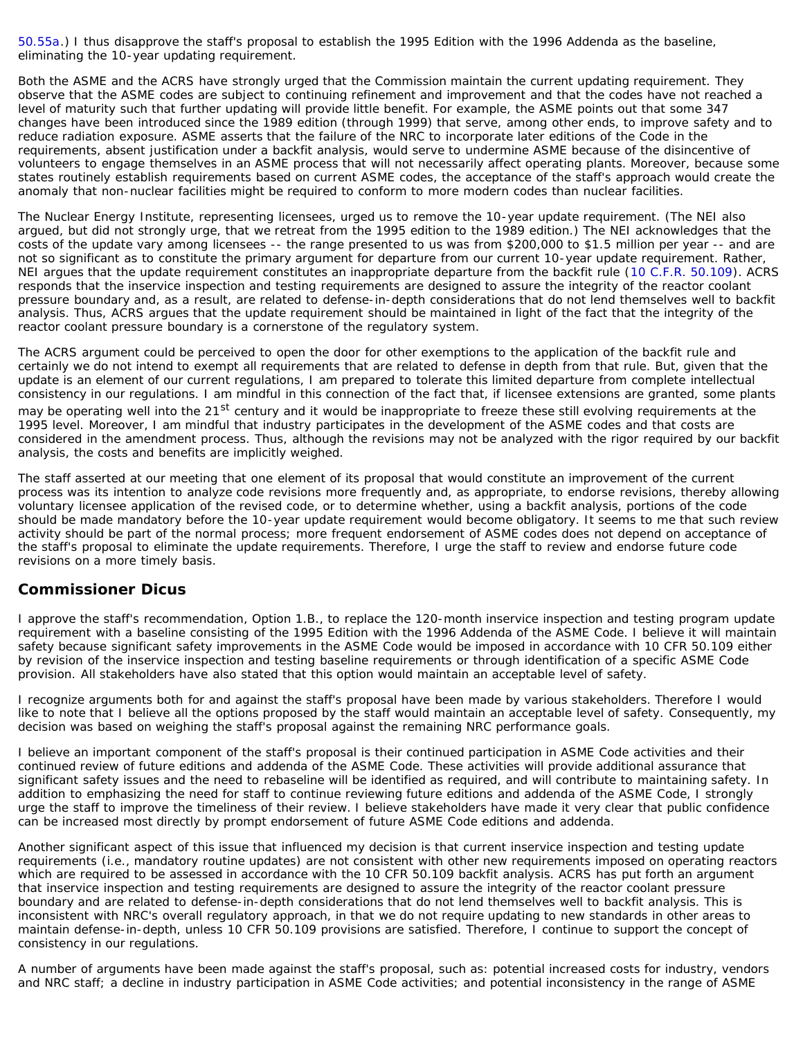[50.55a.](http://www.nrc.gov/reading-rm/doc-collections/cfr/part050/part050-0055a.html)) I thus disapprove the staff's proposal to establish the 1995 Edition with the 1996 Addenda as the baseline, eliminating the 10-year updating requirement.

Both the ASME and the ACRS have strongly urged that the Commission maintain the current updating requirement. They observe that the ASME codes are subject to continuing refinement and improvement and that the codes have not reached a level of maturity such that further updating will provide little benefit. For example, the ASME points out that some 347 changes have been introduced since the 1989 edition (through 1999) that serve, among other ends, to improve safety and to reduce radiation exposure. ASME asserts that the failure of the NRC to incorporate later editions of the Code in the requirements, absent justification under a backfit analysis, would serve to undermine ASME because of the disincentive of volunteers to engage themselves in an ASME process that will not necessarily affect operating plants. Moreover, because some states routinely establish requirements based on current ASME codes, the acceptance of the staff's approach would create the anomaly that non-nuclear facilities might be required to conform to more modern codes than nuclear facilities.

The Nuclear Energy Institute, representing licensees, urged us to remove the 10-year update requirement. (The NEI also argued, but did not strongly urge, that we retreat from the 1995 edition to the 1989 edition.) The NEI acknowledges that the costs of the update vary among licensees -- the range presented to us was from \$200,000 to \$1.5 million per year -- and are not so significant as to constitute the primary argument for departure from our current 10-year update requirement. Rather, NEI argues that the update requirement constitutes an inappropriate departure from the backfit rule ([10 C.F.R. 50.109](http://www.nrc.gov/reading-rm/doc-collections/cfr/part050/part050-0109.html)). ACRS responds that the inservice inspection and testing requirements are designed to assure the integrity of the reactor coolant pressure boundary and, as a result, are related to defense-in-depth considerations that do not lend themselves well to backfit analysis. Thus, ACRS argues that the update requirement should be maintained in light of the fact that the integrity of the reactor coolant pressure boundary is a cornerstone of the regulatory system.

The ACRS argument could be perceived to open the door for other exemptions to the application of the backfit rule and certainly we do not intend to exempt all requirements that are related to defense in depth from that rule. But, given that the update is an element of our current regulations, I am prepared to tolerate this limited departure from complete intellectual consistency in our regulations. I am mindful in this connection of the fact that, if licensee extensions are granted, some plants may be operating well into the 21<sup>st</sup> century and it would be inappropriate to freeze these still evolving requirements at the 1995 level. Moreover, I am mindful that industry participates in the development of the ASME codes and that costs are considered in the amendment process. Thus, although the revisions may not be analyzed with the rigor required by our backfit analysis, the costs and benefits are implicitly weighed.

The staff asserted at our meeting that one element of its proposal that would constitute an improvement of the current process was its intention to analyze code revisions more frequently and, as appropriate, to endorse revisions, thereby allowing voluntary licensee application of the revised code, or to determine whether, using a backfit analysis, portions of the code should be made mandatory before the 10-year update requirement would become obligatory. It seems to me that such review activity should be part of the normal process; more frequent endorsement of ASME codes does not depend on acceptance of the staff's proposal to eliminate the update requirements. Therefore, I urge the staff to review and endorse future code revisions on a more timely basis.

### **Commissioner Dicus**

I approve the staff's recommendation, Option 1.B., to replace the 120-month inservice inspection and testing program update requirement with a baseline consisting of the 1995 Edition with the 1996 Addenda of the ASME Code. I believe it will maintain safety because significant safety improvements in the ASME Code would be imposed in accordance with 10 CFR 50.109 either by revision of the inservice inspection and testing baseline requirements or through identification of a specific ASME Code provision. All stakeholders have also stated that this option would maintain an acceptable level of safety.

I recognize arguments both for and against the staff's proposal have been made by various stakeholders. Therefore I would like to note that I believe all the options proposed by the staff would maintain an acceptable level of safety. Consequently, my decision was based on weighing the staff's proposal against the remaining NRC performance goals.

I believe an important component of the staff's proposal is their continued participation in ASME Code activities and their continued review of future editions and addenda of the ASME Code. These activities will provide additional assurance that significant safety issues and the need to rebaseline will be identified as required, and will contribute to maintaining safety. In addition to emphasizing the need for staff to continue reviewing future editions and addenda of the ASME Code, I strongly urge the staff to improve the timeliness of their review. I believe stakeholders have made it very clear that public confidence can be increased most directly by prompt endorsement of future ASME Code editions and addenda.

Another significant aspect of this issue that influenced my decision is that current inservice inspection and testing update requirements (i.e., mandatory routine updates) are not consistent with other new requirements imposed on operating reactors which are required to be assessed in accordance with the 10 CFR 50.109 backfit analysis. ACRS has put forth an argument that inservice inspection and testing requirements are designed to assure the integrity of the reactor coolant pressure boundary and are related to defense-in-depth considerations that do not lend themselves well to backfit analysis. This is inconsistent with NRC's overall regulatory approach, in that we do not require updating to new standards in other areas to maintain defense-in-depth, unless 10 CFR 50.109 provisions are satisfied. Therefore, I continue to support the concept of consistency in our regulations.

A number of arguments have been made against the staff's proposal, such as: potential increased costs for industry, vendors and NRC staff; a decline in industry participation in ASME Code activities; and potential inconsistency in the range of ASME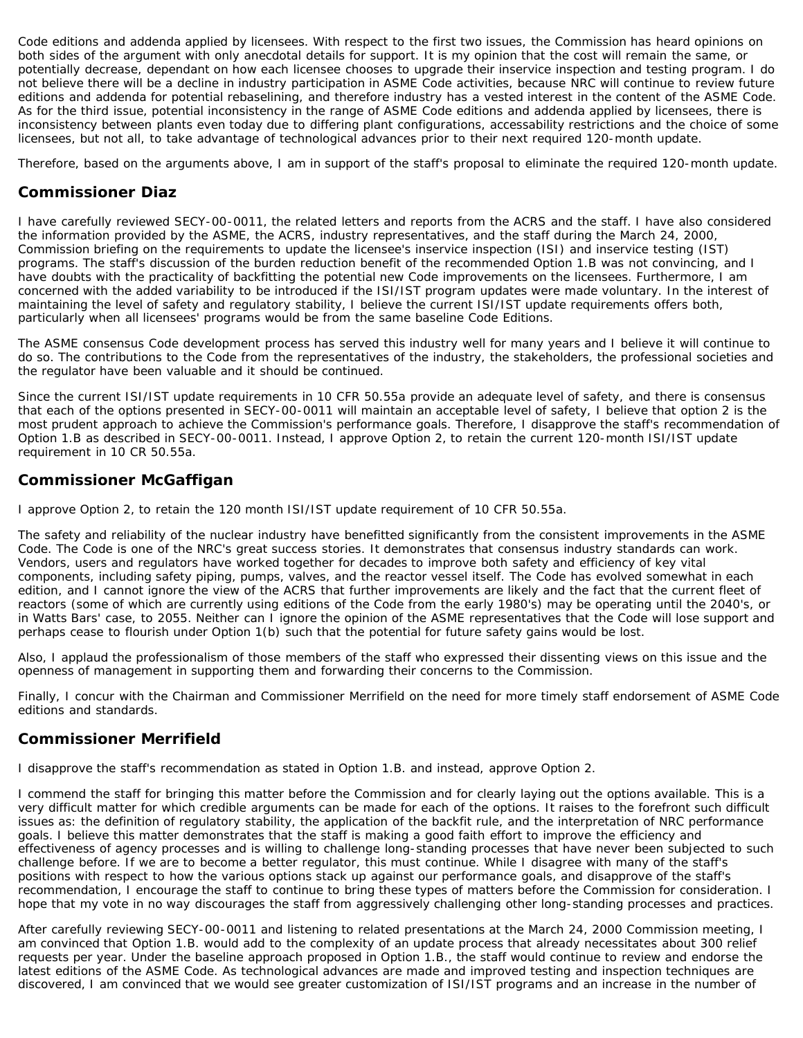Code editions and addenda applied by licensees. With respect to the first two issues, the Commission has heard opinions on both sides of the argument with only anecdotal details for support. It is my opinion that the cost will remain the same, or potentially decrease, dependant on how each licensee chooses to upgrade their inservice inspection and testing program. I do not believe there will be a decline in industry participation in ASME Code activities, because NRC will continue to review future editions and addenda for potential rebaselining, and therefore industry has a vested interest in the content of the ASME Code. As for the third issue, potential inconsistency in the range of ASME Code editions and addenda applied by licensees, there is inconsistency between plants even today due to differing plant configurations, accessability restrictions and the choice of some licensees, but not all, to take advantage of technological advances prior to their next required 120-month update.

Therefore, based on the arguments above, I am in support of the staff's proposal to eliminate the required 120-month update.

# **Commissioner Diaz**

I have carefully reviewed SECY-00-0011, the related letters and reports from the ACRS and the staff. I have also considered the information provided by the ASME, the ACRS, industry representatives, and the staff during the March 24, 2000, Commission briefing on the requirements to update the licensee's inservice inspection (ISI) and inservice testing (IST) programs. The staff's discussion of the burden reduction benefit of the recommended Option 1.B was not convincing, and I have doubts with the practicality of backfitting the potential new Code improvements on the licensees. Furthermore, I am concerned with the added variability to be introduced if the ISI/IST program updates were made voluntary. In the interest of maintaining the level of safety and regulatory stability, I believe the current ISI/IST update requirements offers both, particularly when all licensees' programs would be from the same baseline Code Editions.

The ASME consensus Code development process has served this industry well for many years and I believe it will continue to do so. The contributions to the Code from the representatives of the industry, the stakeholders, the professional societies and the regulator have been valuable and it should be continued.

Since the current ISI/IST update requirements in 10 CFR 50.55a provide an adequate level of safety, and there is consensus that each of the options presented in SECY-00-0011 will maintain an acceptable level of safety, I believe that option 2 is the most prudent approach to achieve the Commission's performance goals. Therefore, I disapprove the staff's recommendation of Option 1.B as described in SECY-00-0011. Instead, I approve Option 2, to retain the current 120-month ISI/IST update requirement in 10 CR 50.55a.

## **Commissioner McGaffigan**

I approve Option 2, to retain the 120 month ISI/IST update requirement of 10 CFR 50.55a.

The safety and reliability of the nuclear industry have benefitted significantly from the consistent improvements in the ASME Code. The Code is one of the NRC's great success stories. It demonstrates that consensus industry standards can work. Vendors, users and regulators have worked together for decades to improve both safety and efficiency of key vital components, including safety piping, pumps, valves, and the reactor vessel itself. The Code has evolved somewhat in each edition, and I cannot ignore the view of the ACRS that further improvements are likely and the fact that the current fleet of reactors (some of which are currently using editions of the Code from the early 1980's) may be operating until the 2040's, or in Watts Bars' case, to 2055. Neither can I ignore the opinion of the ASME representatives that the Code will lose support and perhaps cease to flourish under Option 1(b) such that the potential for future safety gains would be lost.

Also, I applaud the professionalism of those members of the staff who expressed their dissenting views on this issue and the openness of management in supporting them and forwarding their concerns to the Commission.

Finally, I concur with the Chairman and Commissioner Merrifield on the need for more timely staff endorsement of ASME Code editions and standards.

# **Commissioner Merrifield**

I disapprove the staff's recommendation as stated in Option 1.B. and instead, approve Option 2.

I commend the staff for bringing this matter before the Commission and for clearly laying out the options available. This is a very difficult matter for which credible arguments can be made for each of the options. It raises to the forefront such difficult issues as: the definition of regulatory stability, the application of the backfit rule, and the interpretation of NRC performance goals. I believe this matter demonstrates that the staff is making a good faith effort to improve the efficiency and effectiveness of agency processes and is willing to challenge long-standing processes that have never been subjected to such challenge before. If we are to become a better regulator, this must continue. While I disagree with many of the staff's positions with respect to how the various options stack up against our performance goals, and disapprove of the staff's recommendation, I encourage the staff to continue to bring these types of matters before the Commission for consideration. I hope that my vote in no way discourages the staff from aggressively challenging other long-standing processes and practices.

After carefully reviewing SECY-00-0011 and listening to related presentations at the March 24, 2000 Commission meeting, I am convinced that Option 1.B. would add to the complexity of an update process that already necessitates about 300 relief requests per year. Under the baseline approach proposed in Option 1.B., the staff would continue to review and endorse the latest editions of the ASME Code. As technological advances are made and improved testing and inspection techniques are discovered, I am convinced that we would see greater customization of ISI/IST programs and an increase in the number of